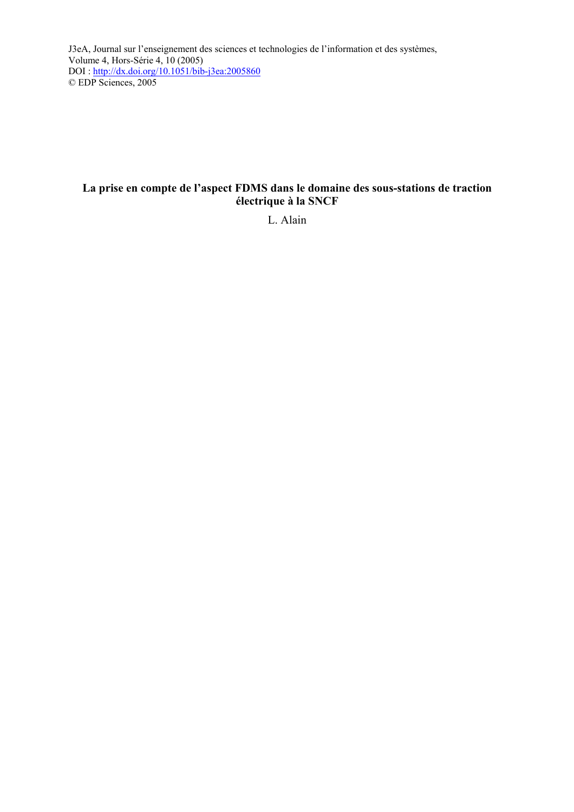J3eA, Journal sur l'enseignement des sciences et technologies de l'information et des systèmes, Volume 4, Hors-Série 4, 10 (2005) DOI :<http://dx.doi.org/10.1051/bib-j3ea:2005860> © EDP Sciences, 2005

# **La prise en compte de l'aspect FDMS dans le domaine des sous-stations de traction électrique à la SNCF**

L. Alain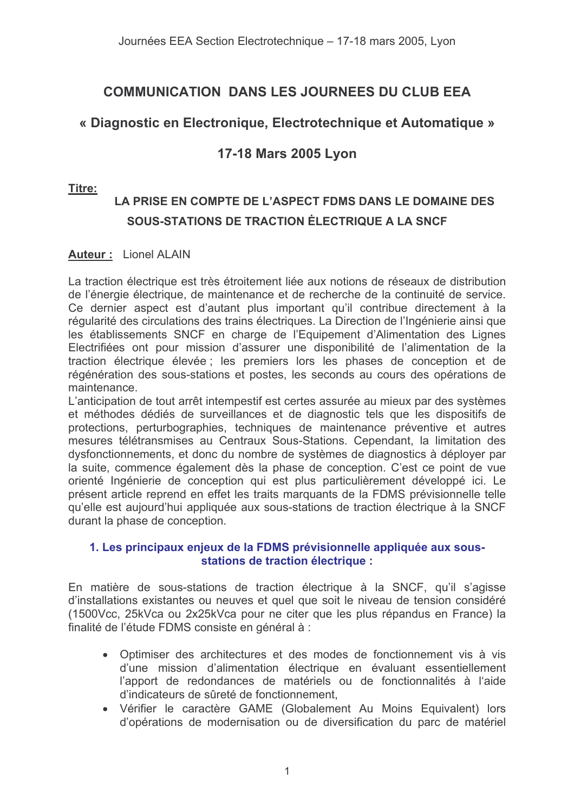# **COMMUNICATION DANS LES JOURNEES DU CLUB EEA**

# « Diagnostic en Electronique, Electrotechnique et Automatique »

# 17-18 Mars 2005 Lyon

### Titre:

# LA PRISE EN COMPTE DE L'ASPECT FDMS DANS LE DOMAINE DES SOUS-STATIONS DE TRACTION ÉLECTRIQUE A LA SNCF

### **Auteur: Lionel ALAIN**

La traction électrique est très étroitement liée aux notions de réseaux de distribution de l'énergie électrique, de maintenance et de recherche de la continuité de service. Ce dernier aspect est d'autant plus important qu'il contribue directement à la régularité des circulations des trains électriques. La Direction de l'Ingénierie ainsi que les établissements SNCF en charge de l'Equipement d'Alimentation des Lignes Electrifiées ont pour mission d'assurer une disponibilité de l'alimentation de la traction électrique élevée ; les premiers lors les phases de conception et de régénération des sous-stations et postes, les seconds au cours des opérations de maintenance.

L'anticipation de tout arrêt intempestif est certes assurée au mieux par des systèmes et méthodes dédiés de surveillances et de diagnostic tels que les dispositifs de protections, perturbographies, techniques de maintenance préventive et autres mesures télétransmises au Centraux Sous-Stations. Cependant, la limitation des dysfonctionnements, et donc du nombre de systèmes de diagnostics à déployer par la suite, commence également dès la phase de conception. C'est ce point de vue orienté Ingénierie de conception qui est plus particulièrement développé ici. Le présent article reprend en effet les traits marquants de la FDMS prévisionnelle telle qu'elle est aujourd'hui appliquée aux sous-stations de traction électrique à la SNCF durant la phase de conception.

### 1. Les principaux enjeux de la FDMS prévisionnelle appliquée aux sousstations de traction électrique :

En matière de sous-stations de traction électrique à la SNCF, qu'il s'agisse d'installations existantes ou neuves et quel que soit le niveau de tension considéré (1500Vcc, 25kVca ou 2x25kVca pour ne citer que les plus répandus en France) la finalité de l'étude FDMS consiste en général à :

- Optimiser des architectures et des modes de fonctionnement vis à vis d'une mission d'alimentation électrique en évaluant essentiellement l'apport de redondances de matériels ou de fonctionnalités à l'aide d'indicateurs de sûreté de fonctionnement.
- Vérifier le caractère GAME (Globalement Au Moins Equivalent) lors d'opérations de modernisation ou de diversification du parc de matériel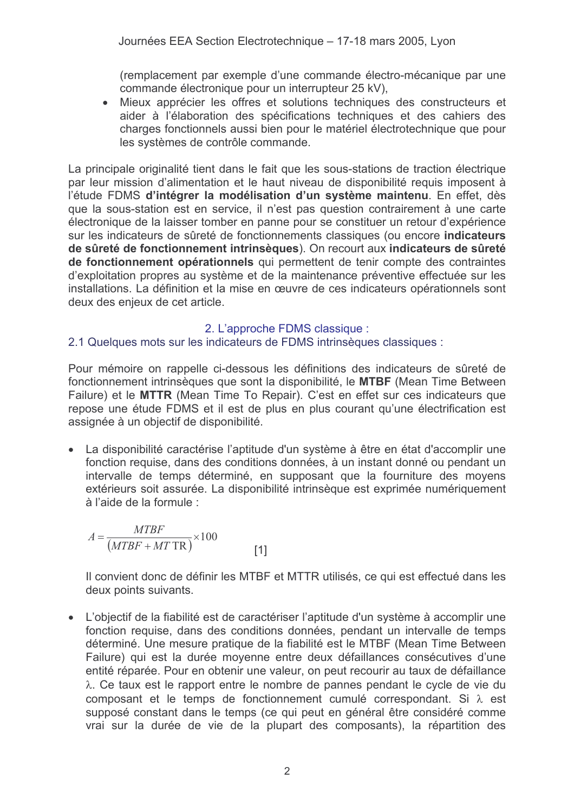(remplacement par exemple d'une commande électro-mécanique par une commande électronique pour un interrupteur 25 kV),

• Mieux apprécier les offres et solutions techniques des constructeurs et aider à l'élaboration des spécifications techniques et des cahiers des charges fonctionnels aussi bien pour le matériel électrotechnique que pour les systèmes de contrôle commande.

La principale originalité tient dans le fait que les sous-stations de traction électrique par leur mission d'alimentation et le haut niveau de disponibilité requis imposent à l'étude FDMS d'intégrer la modélisation d'un système maintenu. En effet, dès que la sous-station est en service, il n'est pas question contrairement à une carte électronique de la laisser tomber en panne pour se constituer un retour d'expérience sur les indicateurs de sûreté de fonctionnements classiques (ou encore indicateurs de sûreté de fonctionnement intrinsèques). On recourt aux indicateurs de sûreté de fonctionnement opérationnels qui permettent de tenir compte des contraintes d'exploitation propres au système et de la maintenance préventive effectuée sur les installations. La définition et la mise en œuvre de ces indicateurs opérationnels sont deux des enjeux de cet article.

# 2. L'approche FDMS classique :

# 2.1 Quelques mots sur les indicateurs de FDMS intrinsèques classiques :

Pour mémoire on rappelle ci-dessous les définitions des indicateurs de sûreté de fonctionnement intrinsèques que sont la disponibilité, le MTBF (Mean Time Between Failure) et le MTTR (Mean Time To Repair). C'est en effet sur ces indicateurs que repose une étude FDMS et il est de plus en plus courant qu'une électrification est assignée à un objectif de disponibilité.

• La disponibilité caractérise l'aptitude d'un système à être en état d'accomplir une fonction requise, dans des conditions données, à un instant donné ou pendant un intervalle de temps déterminé, en supposant que la fourniture des moyens extérieurs soit assurée. La disponibilité intrinsèque est exprimée numériquement à l'aide de la formule :

$$
A = \frac{MTBF}{(MTBF + MT \text{ TR})} \times 100\tag{1}
$$

Il convient donc de définir les MTBF et MTTR utilisés, ce qui est effectué dans les deux points suivants.

• L'obiectif de la fiabilité est de caractériser l'aptitude d'un système à accomplir une fonction requise, dans des conditions données, pendant un intervalle de temps déterminé. Une mesure pratique de la fiabilité est le MTBF (Mean Time Between Failure) qui est la durée moyenne entre deux défaillances consécutives d'une entité réparée. Pour en obtenir une valeur, on peut recourir au taux de défaillance λ. Ce taux est le rapport entre le nombre de pannes pendant le cycle de vie du composant et le temps de fonctionnement cumulé correspondant. Si  $\lambda$  est supposé constant dans le temps (ce qui peut en général être considéré comme vrai sur la durée de vie de la plupart des composants), la répartition des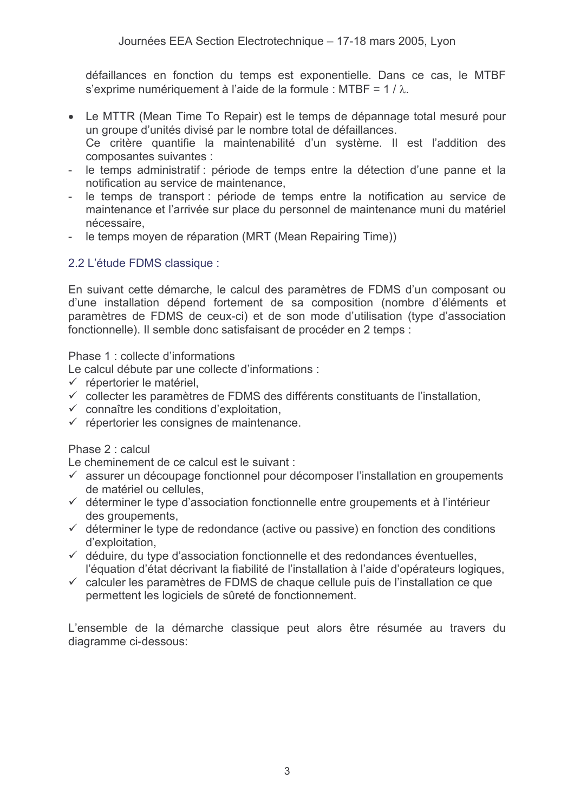défaillances en fonction du temps est exponentielle. Dans ce cas, le MTBF s'exprime numériquement à l'aide de la formule : MTBF =  $1/\lambda$ .

- Le MTTR (Mean Time To Repair) est le temps de dépannage total mesuré pour un groupe d'unités divisé par le nombre total de défaillances. Ce critère quantifie la maintenabilité d'un système. Il est l'addition des composantes suivantes :
- le temps administratif : période de temps entre la détection d'une panne et la notification au service de maintenance,
- le temps de transport : période de temps entre la notification au service de  $\sim$ maintenance et l'arrivée sur place du personnel de maintenance muni du matériel nécessaire.
- le temps moyen de réparation (MRT (Mean Repairing Time))

# 2.2 L'étude FDMS classique :

En suivant cette démarche, le calcul des paramètres de FDMS d'un composant ou d'une installation dépend fortement de sa composition (nombre d'éléments et paramètres de FDMS de ceux-ci) et de son mode d'utilisation (type d'association fonctionnelle). Il semble donc satisfaisant de procéder en 2 temps :

Phase 1: collecte d'informations

Le calcul débute par une collecte d'informations :

- $\checkmark$  répertorier le matériel.
- ✓ collecter les paramètres de FDMS des différents constituants de l'installation.
- $\checkmark$  connaître les conditions d'exploitation,
- ← répertorier les consignes de maintenance.

### Phase 2 : calcul

Le cheminement de ce calcul est le suivant :

- $\checkmark$  assurer un découpage fonctionnel pour décomposer l'installation en groupements de matériel ou cellules.
- $\checkmark$  déterminer le type d'association fonctionnelle entre groupements et à l'intérieur des aroupements.
- $\checkmark$  déterminer le type de redondance (active ou passive) en fonction des conditions d'exploitation,
- ✓ déduire, du type d'association fonctionnelle et des redondances éventuelles, l'équation d'état décrivant la fiabilité de l'installation à l'aide d'opérateurs logiques,
- $\checkmark$  calculer les paramètres de FDMS de chaque cellule puis de l'installation ce que permettent les logiciels de sûreté de fonctionnement.

L'ensemble de la démarche classique peut alors être résumée au travers du diagramme ci-dessous: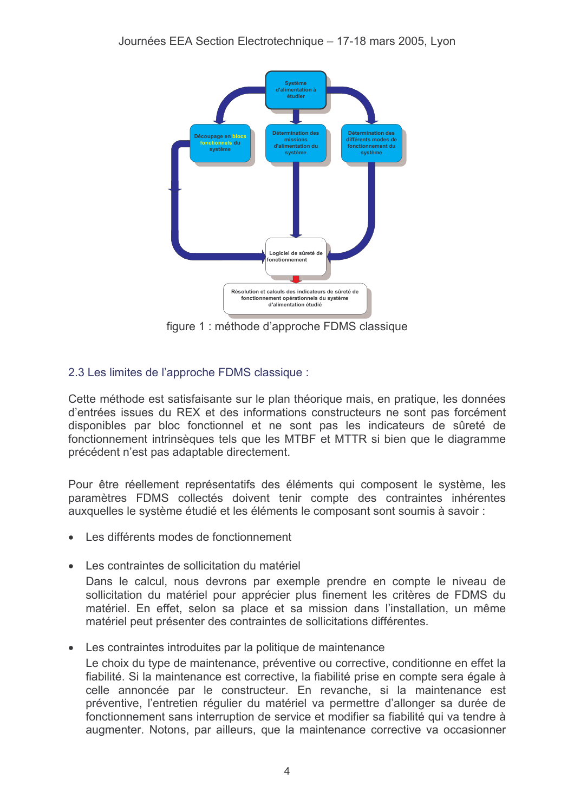

figure 1 : méthode d'approche FDMS classique

# 2.3 Les limites de l'approche FDMS classique :

Cette méthode est satisfaisante sur le plan théorique mais, en pratique, les données d'entrées issues du REX et des informations constructeurs ne sont pas forcément disponibles par bloc fonctionnel et ne sont pas les indicateurs de sûreté de fonctionnement intrinsèques tels que les MTBF et MTTR si bien que le diagramme précédent n'est pas adaptable directement.

Pour être réellement représentatifs des éléments qui composent le système, les paramètres FDMS collectés doivent tenir compte des contraintes inhérentes auxquelles le système étudié et les éléments le composant sont soumis à savoir :

- Les différents modes de fonctionnement
- Les contraintes de sollicitation du matériel

Dans le calcul, nous devrons par exemple prendre en compte le niveau de sollicitation du matériel pour apprécier plus finement les critères de FDMS du matériel. En effet, selon sa place et sa mission dans l'installation, un même matériel peut présenter des contraintes de sollicitations différentes.

Les contraintes introduites par la politique de maintenance

Le choix du type de maintenance, préventive ou corrective, conditionne en effet la fiabilité. Si la maintenance est corrective, la fiabilité prise en compte sera égale à celle annoncée par le constructeur. En revanche, si la maintenance est préventive. l'entretien réqulier du matériel va permettre d'allonger sa durée de fonctionnement sans interruption de service et modifier sa fiabilité qui va tendre à augmenter. Notons, par ailleurs, que la maintenance corrective va occasionner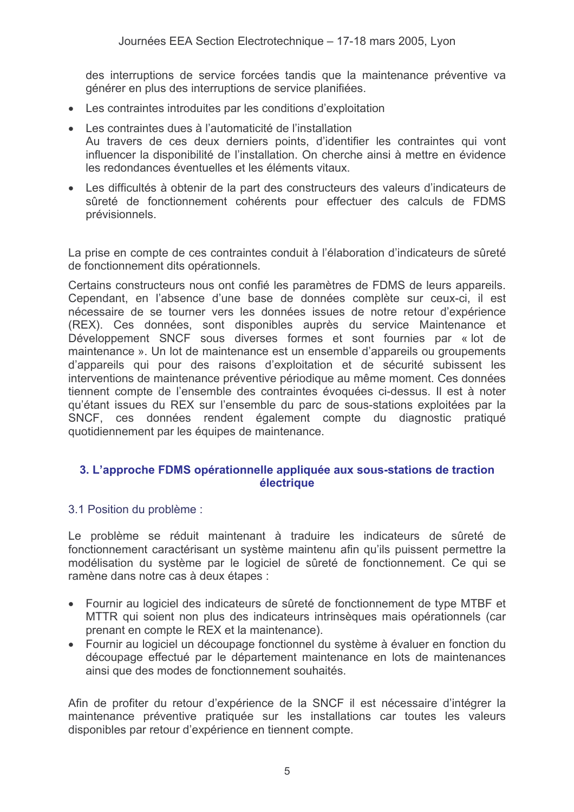des interruptions de service forcées tandis que la maintenance préventive va générer en plus des interruptions de service planifiées.

- Les contraintes introduites par les conditions d'exploitation
- Les contraintes dues à l'automaticité de l'installation Au travers de ces deux derniers points, d'identifier les contraintes qui vont influencer la disponibilité de l'installation. On cherche ainsi à mettre en évidence les redondances éventuelles et les éléments vitaux
- Les difficultés à obtenir de la part des constructeurs des valeurs d'indicateurs de sûreté de fonctionnement cohérents pour effectuer des calculs de FDMS prévisionnels.

La prise en compte de ces contraintes conduit à l'élaboration d'indicateurs de sûreté de fonctionnement dits opérationnels.

Certains constructeurs nous ont confié les paramètres de FDMS de leurs appareils. Cependant, en l'absence d'une base de données complète sur ceux-ci, il est nécessaire de se tourner vers les données issues de notre retour d'expérience (REX). Ces données, sont disponibles auprès du service Maintenance et Développement SNCF sous diverses formes et sont fournies par « lot de maintenance ». Un lot de maintenance est un ensemble d'appareils ou groupements d'appareils qui pour des raisons d'exploitation et de sécurité subissent les interventions de maintenance préventive périodique au même moment. Ces données tiennent compte de l'ensemble des contraintes évoquées ci-dessus. Il est à noter qu'étant issues du REX sur l'ensemble du parc de sous-stations exploitées par la SNCF, ces données rendent également compte du diagnostic pratiqué quotidiennement par les équipes de maintenance.

### 3. L'approche FDMS opérationnelle appliquée aux sous-stations de traction électrique

### 3.1 Position du problème :

Le problème se réduit maintenant à traduire les indicateurs de sûreté de fonctionnement caractérisant un système maintenu afin qu'ils puissent permettre la modélisation du système par le logiciel de sûreté de fonctionnement. Ce qui se ramène dans notre cas à deux étapes :

- Fournir au logiciel des indicateurs de sûreté de fonctionnement de type MTBF et MTTR qui soient non plus des indicateurs intrinsèques mais opérationnels (car prenant en compte le REX et la maintenance).
- Fournir au logiciel un découpage fonctionnel du système à évaluer en fonction du découpage effectué par le département maintenance en lots de maintenances ainsi que des modes de fonctionnement souhaités.

Afin de profiter du retour d'expérience de la SNCF il est nécessaire d'intégrer la maintenance préventive pratiquée sur les installations car toutes les valeurs disponibles par retour d'expérience en tiennent compte.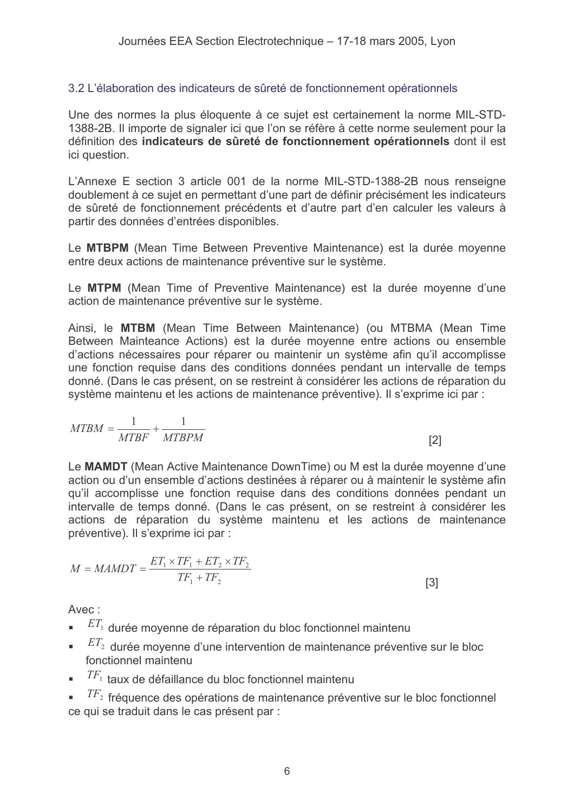### 3.2 L'élaboration des indicateurs de sûreté de fonctionnement opérationnels

Une des normes la plus éloquente à ce sujet est certainement la norme MIL-STD-1388-2B. Il importe de signaler ici que l'on se réfère à cette norme seulement pour la définition des indicateurs de sûreté de fonctionnement opérationnels dont il est ici question.

L'Annexe E section 3 article 001 de la norme MIL-STD-1388-2B nous renseigne doublement à ce sujet en permettant d'une part de définir précisément les indicateurs de sûreté de fonctionnement précédents et d'autre part d'en calculer les valeurs à partir des données d'entrées disponibles.

Le MTBPM (Mean Time Between Preventive Maintenance) est la durée moyenne entre deux actions de maintenance préventive sur le système.

Le MTPM (Mean Time of Preventive Maintenance) est la durée moyenne d'une action de maintenance préventive sur le système.

Ainsi, le MTBM (Mean Time Between Maintenance) (ou MTBMA (Mean Time Between Mainteance Actions) est la durée moyenne entre actions ou ensemble d'actions nécessaires pour réparer ou maintenir un système afin qu'il accomplisse une fonction requise dans des conditions données pendant un intervalle de temps donné. (Dans le cas présent, on se restreint à considérer les actions de réparation du système maintenu et les actions de maintenance préventive). Il s'exprime ici par :

$$
MTBM = \frac{1}{MTBF} + \frac{1}{MTBPM}
$$

Le MAMDT (Mean Active Maintenance DownTime) ou M est la durée moyenne d'une action ou d'un ensemble d'actions destinées à réparer ou à maintenir le système afin qu'il accomplisse une fonction requise dans des conditions données pendant un intervalle de temps donné. (Dans le cas présent, on se restreint à considérer les actions de réparation du système maintenu et les actions de maintenance préventive). Il s'exprime ici par :

 $[2]$ 

$$
M = MAMDT = \frac{ET_1 \times TF_1 + ET_2 \times TF_2}{TF_1 + TF_2}
$$
\n
$$
\tag{3}
$$

Avec :

- $ET_1$  durée movenne de réparation du bloc fonctionnel maintenu
- $ET_2$  durée moyenne d'une intervention de maintenance préventive sur le bloc  $\blacksquare$ fonctionnel maintenu
- $T\!F_1$  taux de défaillance du bloc fonctionnel maintenu

 $T\sqrt{F_2}$  fréquence des opérations de maintenance préventive sur le bloc fonctionnel ce qui se traduit dans le cas présent par :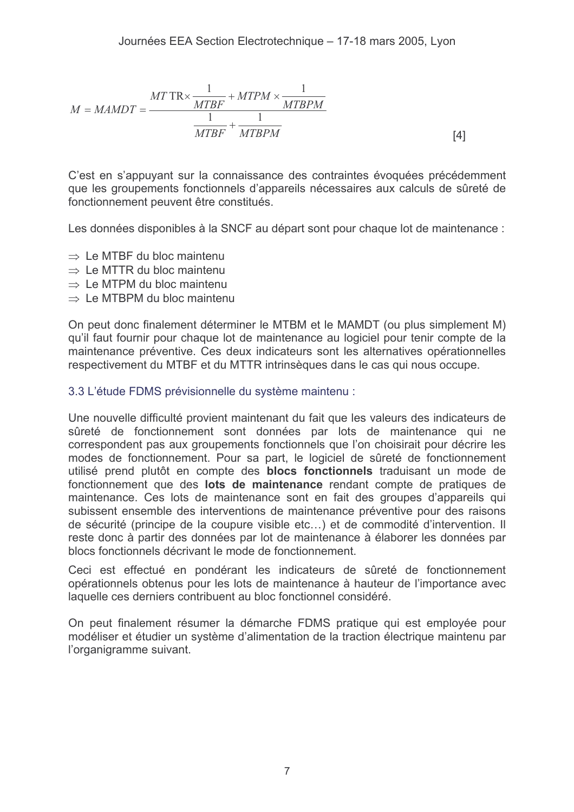$$
M = MAMDT = \frac{MT \, \text{TR} \times \frac{1}{MTBF} + MTPM \times \frac{1}{MTBPM}}{MTBF + \frac{1}{MTBPM}}
$$
\n
$$
\boxed{4}
$$

C'est en s'appuyant sur la connaissance des contraintes évoquées précédemment que les groupements fonctionnels d'appareils nécessaires aux calculs de sûreté de fonctionnement peuvent être constitués.

Les données disponibles à la SNCF au départ sont pour chaque lot de maintenance :

- $\Rightarrow$  Le MTBF du bloc maintenu
- $\Rightarrow$  Le MTTR du bloc maintenu
- $\Rightarrow$  Le MTPM du bloc maintenu
- $\Rightarrow$  Le MTBPM du bloc maintenu

On peut donc finalement déterminer le MTBM et le MAMDT (ou plus simplement M) qu'il faut fournir pour chaque lot de maintenance au logiciel pour tenir compte de la maintenance préventive. Ces deux indicateurs sont les alternatives opérationnelles respectivement du MTBF et du MTTR intrinsèques dans le cas qui nous occupe.

### 3.3 L'étude FDMS prévisionnelle du système maintenu :

Une nouvelle difficulté provient maintenant du fait que les valeurs des indicateurs de sûreté de fonctionnement sont données par lots de maintenance qui ne correspondent pas aux groupements fonctionnels que l'on choisirait pour décrire les modes de fonctionnement. Pour sa part, le logiciel de sûreté de fonctionnement utilisé prend plutôt en compte des **blocs fonctionnels** traduisant un mode de fonctionnement que des lots de maintenance rendant compte de pratiques de maintenance. Ces lots de maintenance sont en fait des groupes d'appareils qui subissent ensemble des interventions de maintenance préventive pour des raisons de sécurité (principe de la coupure visible etc...) et de commodité d'intervention. Il reste donc à partir des données par lot de maintenance à élaborer les données par blocs fonctionnels décrivant le mode de fonctionnement.

Ceci est effectué en pondérant les indicateurs de sûreté de fonctionnement opérationnels obtenus pour les lots de maintenance à hauteur de l'importance avec laquelle ces derniers contribuent au bloc fonctionnel considéré.

On peut finalement résumer la démarche FDMS pratique qui est employée pour modéliser et étudier un système d'alimentation de la traction électrique maintenu par l'organigramme suivant.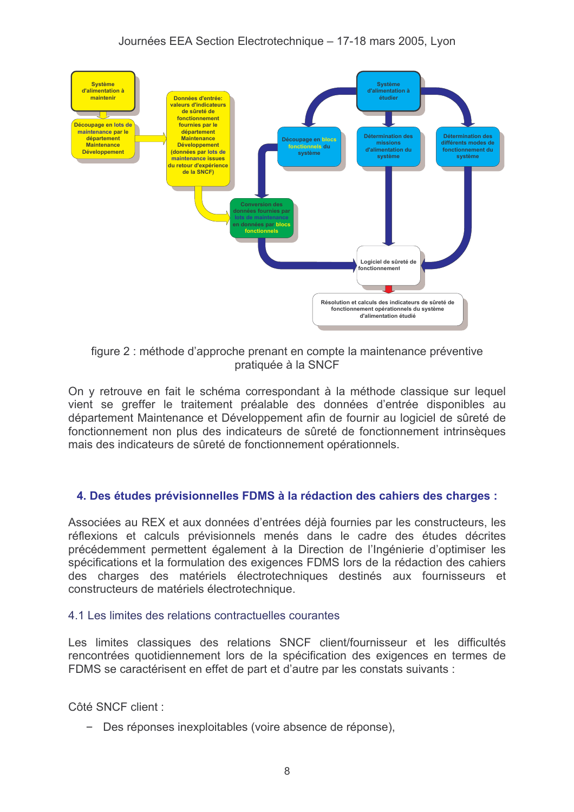

figure 2 : méthode d'approche prenant en compte la maintenance préventive pratiquée à la SNCF

On y retrouve en fait le schéma correspondant à la méthode classique sur lequel vient se greffer le traitement préalable des données d'entrée disponibles au département Maintenance et Développement afin de fournir au logiciel de sûreté de fonctionnement non plus des indicateurs de sûreté de fonctionnement intrinsèques mais des indicateurs de sûreté de fonctionnement opérationnels.

### 4. Des études prévisionnelles FDMS à la rédaction des cahiers des charges :

Associées au REX et aux données d'entrées déjà fournies par les constructeurs, les réflexions et calculs prévisionnels menés dans le cadre des études décrites précédemment permettent également à la Direction de l'Ingénierie d'optimiser les spécifications et la formulation des exigences FDMS lors de la rédaction des cahiers des charges des matériels électrotechniques destinés aux fournisseurs et constructeurs de matériels électrotechnique.

### 4.1 Les limites des relations contractuelles courantes

Les limites classiques des relations SNCF client/fournisseur et les difficultés rencontrées quotidiennement lors de la spécification des exigences en termes de FDMS se caractérisent en effet de part et d'autre par les constats suivants :

Côté SNCF client:

- Des réponses inexploitables (voire absence de réponse).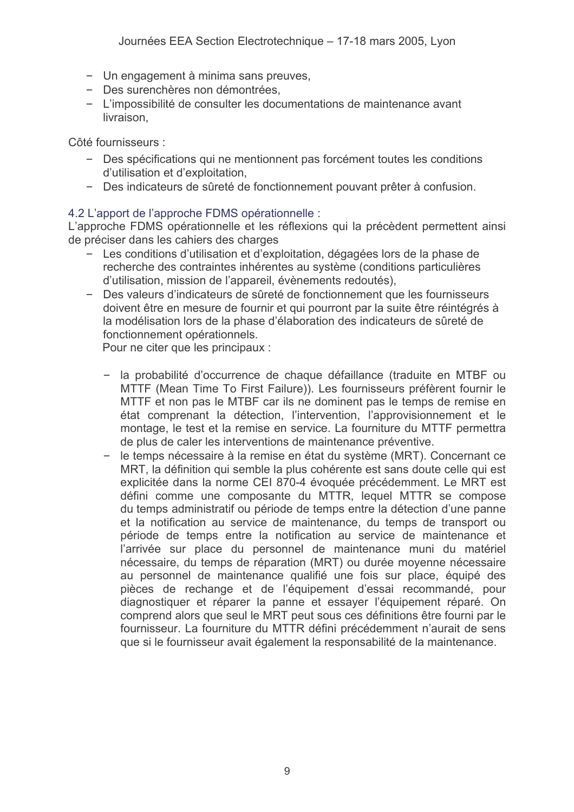- Un engagement à minima sans preuves,
- Des surenchères non démontrées,
- L'impossibilité de consulter les documentations de maintenance avant livraison,

Côté fournisseurs :

- Des spécifications qui ne mentionnent pas forcément toutes les conditions d'utilisation et d'exploitation.
- Des indicateurs de sûreté de fonctionnement pouvant prêter à confusion.

### 4.2 L'apport de l'approche FDMS opérationnelle :

L'approche FDMS opérationnelle et les réflexions qui la précèdent permettent ainsi de préciser dans les cahiers des charges

- Les conditions d'utilisation et d'exploitation, dégagées lors de la phase de recherche des contraintes inhérentes au système (conditions particulières d'utilisation, mission de l'appareil, évènements redoutés),
- Des valeurs d'indicateurs de sûreté de fonctionnement que les fournisseurs doivent être en mesure de fournir et qui pourront par la suite être réintégrés à la modélisation lors de la phase d'élaboration des indicateurs de sûreté de fonctionnement opérationnels.

Pour ne citer que les principaux :

- la probabilité d'occurrence de chaque défaillance (traduite en MTBF ou MTTF (Mean Time To First Failure)). Les fournisseurs préfèrent fournir le MTTF et non pas le MTBF car ils ne dominent pas le temps de remise en état comprenant la détection, l'intervention, l'approvisionnement et le montage, le test et la remise en service. La fourniture du MTTF permettra de plus de caler les interventions de maintenance préventive.
- le temps nécessaire à la remise en état du système (MRT). Concernant ce  $\overline{\phantom{0}}$ MRT, la définition qui semble la plus cohérente est sans doute celle qui est explicitée dans la norme CEI 870-4 évoquée précédemment. Le MRT est défini comme une composante du MTTR, lequel MTTR se compose du temps administratif ou période de temps entre la détection d'une panne et la notification au service de maintenance, du temps de transport ou période de temps entre la notification au service de maintenance et l'arrivée sur place du personnel de maintenance muni du matériel nécessaire, du temps de réparation (MRT) ou durée moyenne nécessaire au personnel de maintenance qualifié une fois sur place, équipé des pièces de rechange et de l'équipement d'essai recommandé, pour diagnostiquer et réparer la panne et essayer l'équipement réparé. On comprend alors que seul le MRT peut sous ces définitions être fourni par le fournisseur. La fourniture du MTTR défini précédemment n'aurait de sens que si le fournisseur avait également la responsabilité de la maintenance.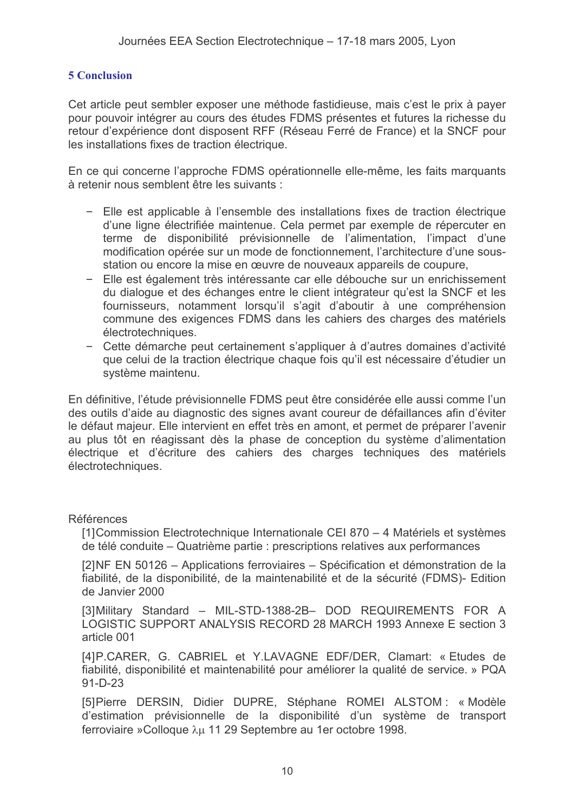### **5 Conclusion**

Cet article peut sembler exposer une méthode fastidieuse, mais c'est le prix à payer pour pouvoir intégrer au cours des études FDMS présentes et futures la richesse du retour d'expérience dont disposent RFF (Réseau Ferré de France) et la SNCF pour les installations fixes de traction électrique.

En ce qui concerne l'approche FDMS opérationnelle elle-même, les faits marquants à retenir nous semblent être les suivants :

- Elle est applicable à l'ensemble des installations fixes de traction électrique d'une ligne électrifiée maintenue. Cela permet par exemple de répercuter en terme de disponibilité prévisionnelle de l'alimentation, l'impact d'une modification opérée sur un mode de fonctionnement, l'architecture d'une sousstation ou encore la mise en œuvre de nouveaux appareils de coupure.
- Elle est également très intéressante car elle débouche sur un enrichissement du dialogue et des échanges entre le client intégrateur qu'est la SNCF et les fournisseurs, notamment lorsqu'il s'agit d'aboutir à une compréhension commune des exigences FDMS dans les cahiers des charges des matériels électrotechniques.
- Cette démarche peut certainement s'appliquer à d'autres domaines d'activité que celui de la traction électrique chaque fois qu'il est nécessaire d'étudier un système maintenu.

En définitive, l'étude prévisionnelle FDMS peut être considérée elle aussi comme l'un des outils d'aide au diagnostic des signes avant coureur de défaillances afin d'éviter le défaut majeur. Elle intervient en effet très en amont, et permet de préparer l'avenir au plus tôt en réagissant dès la phase de conception du système d'alimentation électrique et d'écriture des cahiers des charges techniques des matériels électrotechniques.

### **Références**

[1] Commission Electrotechnique Internationale CEI 870 – 4 Matériels et systèmes de télé conduite – Quatrième partie : prescriptions relatives aux performances

[2]NF EN 50126 - Applications ferroviaires - Spécification et démonstration de la fiabilité, de la disponibilité, de la maintenabilité et de la sécurité (FDMS)- Edition de Janvier 2000

[3] Military Standard - MIL-STD-1388-2B- DOD REQUIREMENTS FOR A LOGISTIC SUPPORT ANALYSIS RECORD 28 MARCH 1993 Annexe E section 3 article 001

[4] P.CARER, G. CABRIEL et Y.LAVAGNE EDF/DER, Clamart: « Etudes de fiabilité, disponibilité et maintenabilité pour améliorer la qualité de service. » PQA  $91 - D - 23$ 

[5] Pierre DERSIN, Didier DUPRE, Stéphane ROMEI ALSTOM: « Modèle d'estimation prévisionnelle de la disponibilité d'un système de transport ferroviaire »Colloque λμ 11 29 Septembre au 1er octobre 1998.